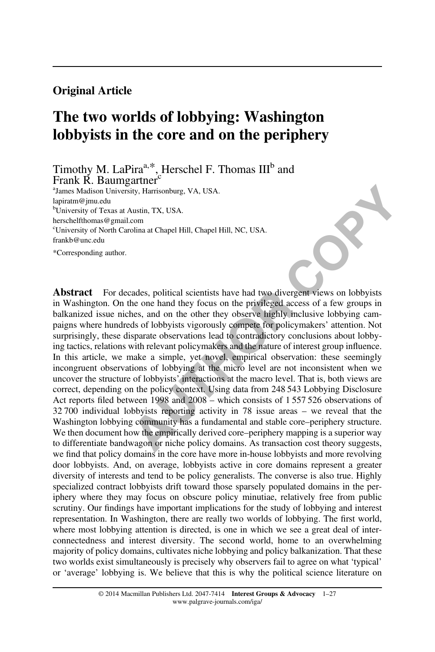# Original Article

# The two worlds of lobbying: Washington lobbyists in the core and on the periphery

Timothy M. LaPira<sup>a,\*</sup>, Herschel F. Thomas III<sup>b</sup> and Frank R. Baumgartner $\vec{r}$ 

a James Madison University, Harrisonburg, VA, USA. lapiratm@jmu.edu b University of Texas at Austin, TX, USA. herschelfthomas@gmail.com c University of North Carolina at Chapel Hill, Chapel Hill, NC, USA. frankb@unc.edu

\*Corresponding author.

In University, Harisonburg, VA, USA.<br>
Erexa at Austin, TX, USA.<br>
Crexa at Austin, TX, USA.<br>
Texas at Austin, TX, USA.<br>
North Carolina at Chapel Hill, Chapel Hill, NC, USA.<br>
Horth Carolina at Chapel Hill, Chapel Hill, NC, U Abstract For decades, political scientists have had two divergent views on lobbyists in Washington. On the one hand they focus on the privileged access of a few groups in balkanized issue niches, and on the other they observe highly inclusive lobbying campaigns where hundreds of lobbyists vigorously compete for policymakers' attention. Not surprisingly, these disparate observations lead to contradictory conclusions about lobbying tactics, relations with relevant policymakers and the nature of interest group influence. In this article, we make a simple, yet novel, empirical observation: these seemingly incongruent observations of lobbying at the micro level are not inconsistent when we uncover the structure of lobbyists' interactions at the macro level. That is, both views are correct, depending on the policy context. Using data from 248 543 Lobbying Disclosure Act reports filed between 1998 and 2008 – which consists of 1 557 526 observations of 32 700 individual lobbyists reporting activity in 78 issue areas – we reveal that the Washington lobbying community has a fundamental and stable core–periphery structure. We then document how the empirically derived core–periphery mapping is a superior way to differentiate bandwagon or niche policy domains. As transaction cost theory suggests, we find that policy domains in the core have more in-house lobbyists and more revolving door lobbyists. And, on average, lobbyists active in core domains represent a greater diversity of interests and tend to be policy generalists. The converse is also true. Highly specialized contract lobbyists drift toward those sparsely populated domains in the periphery where they may focus on obscure policy minutiae, relatively free from public scrutiny. Our findings have important implications for the study of lobbying and interest representation. In Washington, there are really two worlds of lobbying. The first world, where most lobbying attention is directed, is one in which we see a great deal of interconnectedness and interest diversity. The second world, home to an overwhelming majority of policy domains, cultivates niche lobbying and policy balkanization. That these two worlds exist simultaneously is precisely why observers fail to agree on what 'typical' or 'average' lobbying is. We believe that this is why the political science literature on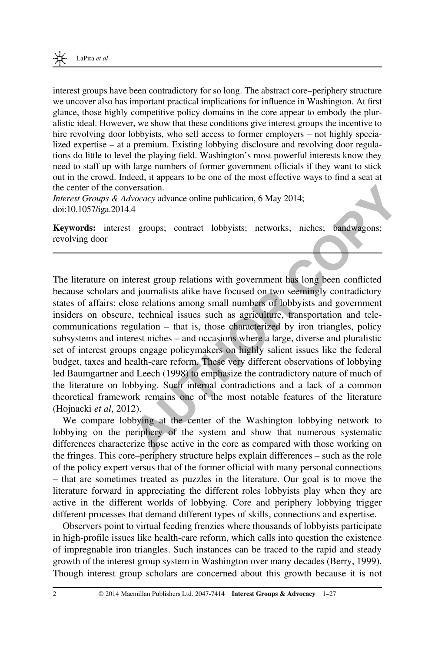interest groups have been contradictory for so long. The abstract core–periphery structure we uncover also has important practical implications for influence in Washington. At first glance, those highly competitive policy domains in the core appear to embody the pluralistic ideal. However, we show that these conditions give interest groups the incentive to hire revolving door lobbyists, who sell access to former employers – not highly specialized expertise – at a premium. Existing lobbying disclosure and revolving door regulations do little to level the playing field. Washington's most powerful interests know they need to staff up with large numbers of former government officials if they want to stick out in the crowd. Indeed, it appears to be one of the most effective ways to find a seat at the center of the conversation.

Interest Groups & Advocacy advance online publication, 6 May 2014; doi:[10.1057/iga.2014.4](http://dx.doi.org/10.1057/iga.2014.4)

Keywords: interest groups; contract lobbyists; networks; niches; bandwagons; revolving door

The conversation.<br>
The conversation constrained the formation of May 2014;<br> *Autoccacy* advance online publication, 6 May 2014;<br> **Example 2014.4**<br>
interest groups; contract lobbyists; networks; niches; bandwagons;<br>
or<br>
are The literature on interest group relations with government has long been conflicted because scholars and journalists alike have focused on two seemingly contradictory states of affairs: close relations among small numbers of lobbyists and government insiders on obscure, technical issues such as agriculture, transportation and telecommunications regulation – that is, those characterized by iron triangles, policy subsystems and interest niches – and occasions where a large, diverse and pluralistic set of interest groups engage policymakers on highly salient issues like the federal budget, taxes and health-care reform. These very different observations of lobbying led [Baumgartner and Leech \(1998\)](#page-19-0) to emphasize the contradictory nature of much of the literature on lobbying. Such internal contradictions and a lack of a common theoretical framework remains one of the most notable features of the literature [\(Hojnacki](#page-20-0) et al. 2012).

We compare lobbying at the center of the Washington lobbying network to lobbying on the periphery of the system and show that numerous systematic differences characterize those active in the core as compared with those working on the fringes. This core–periphery structure helps explain differences – such as the role of the policy expert versus that of the former official with many personal connections – that are sometimes treated as puzzles in the literature. Our goal is to move the literature forward in appreciating the different roles lobbyists play when they are active in the different worlds of lobbying. Core and periphery lobbying trigger different processes that demand different types of skills, connections and expertise.

Observers point to virtual feeding frenzies where thousands of lobbyists participate in high-profile issues like health-care reform, which calls into question the existence of impregnable iron triangles. Such instances can be traced to the rapid and steady growth of the interest group system in Washington over many decades ([Berry, 1999\)](#page-19-0). Though interest group scholars are concerned about this growth because it is not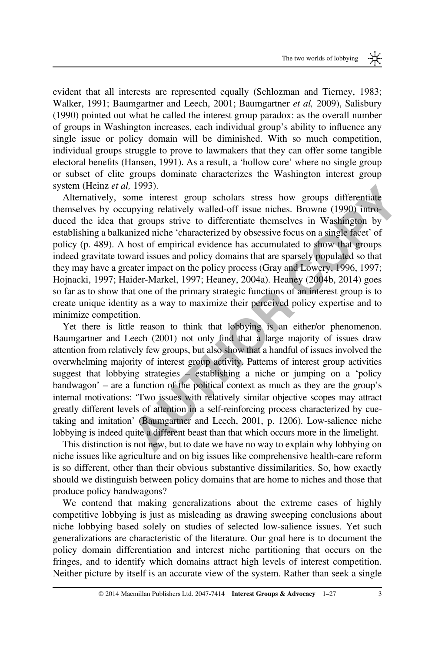evident that all interests are represented equally [\(Schlozman and Tierney, 1983;](#page-20-0) [Walker, 1991;](#page-20-0) [Baumgartner and Leech, 2001](#page-19-0); [Baumgartner](#page-19-0) et al, 2009), [Salisbury](#page-20-0) [\(1990\)](#page-20-0) pointed out what he called the interest group paradox: as the overall number of groups in Washington increases, each individual group's ability to influence any single issue or policy domain will be diminished. With so much competition, individual groups struggle to prove to lawmakers that they can offer some tangible electoral benefits ([Hansen, 1991](#page-20-0)). As a result, a 'hollow core' where no single group or subset of elite groups dominate characterizes the Washington interest group system [\(Heinz](#page-20-0) et al, 1993).

m2 er al., 1995).<br>
The process are the process how groups differentiate<br>
by occupying relatively walled-off issue niches. Browne (1990) intro-<br>
iddea that groups strive to differentiate themselvs in Washington by<br>
a a balk Alternatively, some interest group scholars stress how groups differentiate themselves by occupying relatively walled-off issue niches. Browne (1990) introduced the idea that groups strive to differentiate themselves in Washington by establishing a balkanized niche 'characterized by obsessive focus on a single facet' of policy (p. 489). A host of empirical evidence has accumulated to show that groups indeed gravitate toward issues and policy domains that are sparsely populated so that they may have a greater impact on the policy process (Gray and Lowery, 1996, 1997; [Hojnacki, 1997](#page-20-0); [Haider-Markel, 1997](#page-19-0); Heaney, 2004a). Heaney (2004b, 2014) goes so far as to show that one of the primary strategic functions of an interest group is to create unique identity as a way to maximize their perceived policy expertise and to minimize competition.

Yet there is little reason to think that lobbying is an either/or phenomenon. [Baumgartner and Leech \(2001\)](#page-19-0) not only find that a large majority of issues draw attention from relatively few groups, but also show that a handful of issues involved the overwhelming majority of interest group activity. Patterns of interest group activities suggest that lobbying strategies – establishing a niche or jumping on a 'policy bandwagon' – are a function of the political context as much as they are the group's internal motivations: 'Two issues with relatively similar objective scopes may attract greatly different levels of attention in a self-reinforcing process characterized by cuetaking and imitation' (Baumgartner and Leech, 2001, p. 1206). Low-salience niche lobbying is indeed quite a different beast than that which occurs more in the limelight.

This distinction is not new, but to date we have no way to explain why lobbying on niche issues like agriculture and on big issues like comprehensive health-care reform is so different, other than their obvious substantive dissimilarities. So, how exactly should we distinguish between policy domains that are home to niches and those that produce policy bandwagons?

We contend that making generalizations about the extreme cases of highly competitive lobbying is just as misleading as drawing sweeping conclusions about niche lobbying based solely on studies of selected low-salience issues. Yet such generalizations are characteristic of the literature. Our goal here is to document the policy domain differentiation and interest niche partitioning that occurs on the fringes, and to identify which domains attract high levels of interest competition. Neither picture by itself is an accurate view of the system. Rather than seek a single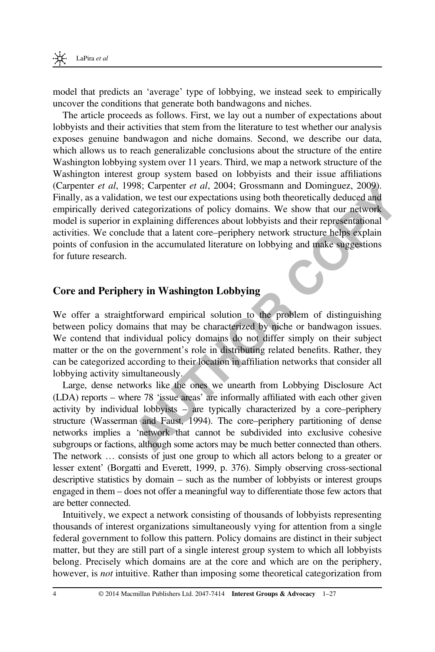model that predicts an 'average' type of lobbying, we instead seek to empirically uncover the conditions that generate both bandwagons and niches.

The article proceeds as follows. First, we lay out a number of expectations about lobbyists and their activities that stem from the literature to test whether our analysis exposes genuine bandwagon and niche domains. Second, we describe our data, which allows us to reach generalizable conclusions about the structure of the entire Washington lobbying system over 11 years. Third, we map a network structure of the Washington interest group system based on lobbyists and their issue affiliations [\(Carpenter](#page-19-0) et al, 1998; Carpenter et al, 2004; [Grossmann and Dominguez, 2009\)](#page-19-0). Finally, as a validation, we test our expectations using both theoretically deduced and empirically derived categorizations of policy domains. We show that our network model is superior in explaining differences about lobbyists and their representational activities. We conclude that a latent core–periphery network structure helps explain points of confusion in the accumulated literature on lobbying and make suggestions for future research.

### Core and Periphery in Washington Lobbying

We offer a straightforward empirical solution to the problem of distinguishing between policy domains that may be characterized by niche or bandwagon issues. We contend that individual policy domains do not differ simply on their subject matter or the on the government's role in distributing related benefits. Rather, they can be categorized according to their location in affiliation networks that consider all lobbying activity simultaneously.

*et a*(*n*) **998**; Carpenter *et al*, 2004; Grossmann and Dominguez, 2009)<br> **AUTHOR COPY** and the summan and Dominguez, 2009;<br>
Vero conclude that a latent core-periphery entwork tructure helps explain<br>
Ve conclude that a l Large, dense networks like the ones we unearth from Lobbying Disclosure Act (LDA) reports – where 78 'issue areas' are informally affiliated with each other given activity by individual lobbyists – are typically characterized by a core–periphery structure [\(Wasserman and Faust, 1994](#page-20-0)). The core–periphery partitioning of dense networks implies a 'network that cannot be subdivided into exclusive cohesive subgroups or factions, although some actors may be much better connected than others. The network … consists of just one group to which all actors belong to a greater or lesser extent' [\(Borgatti and Everett, 1999,](#page-19-0) p. 376). Simply observing cross-sectional descriptive statistics by domain – such as the number of lobbyists or interest groups engaged in them – does not offer a meaningful way to differentiate those few actors that are better connected.

Intuitively, we expect a network consisting of thousands of lobbyists representing thousands of interest organizations simultaneously vying for attention from a single federal government to follow this pattern. Policy domains are distinct in their subject matter, but they are still part of a single interest group system to which all lobbyists belong. Precisely which domains are at the core and which are on the periphery, however, is not intuitive. Rather than imposing some theoretical categorization from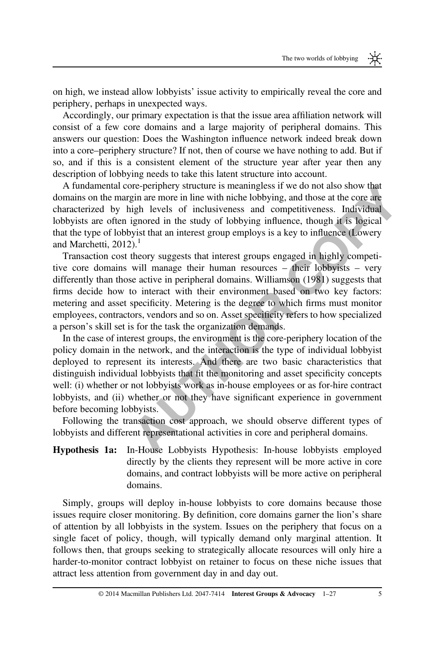on high, we instead allow lobbyists' issue activity to empirically reveal the core and periphery, perhaps in unexpected ways.

Accordingly, our primary expectation is that the issue area affiliation network will consist of a few core domains and a large majority of peripheral domains. This answers our question: Does the Washington influence network indeed break down into a core–periphery structure? If not, then of course we have nothing to add. But if so, and if this is a consistent element of the structure year after year then any description of lobbying needs to take this latent structure into account.

A fundamental core-periphery structure is meaningless if we do not also show that domains on the margin are more in line with niche lobbying, and those at the core are characterized by high levels of inclusiveness and competitiveness. Individual lobbyists are often ignored in the study of lobbying influence, though it is logical that the type of lobbyist that an interest group employs is a key to influence (Lowery and Marchetti,  $2012$ ).<sup>1</sup>

nehata core-perphery structure is meaningers in we do not also show that the margin are operative of the margin levels of inclusiveness and competitiveness. Individual e of lobbying the self in the study of lobbying influe Transaction cost theory suggests that interest groups engaged in highly competitive core domains will manage their human resources – their lobbyists – very differently than those active in peripheral domains. Williamson (1981) suggests that firms decide how to interact with their environment based on two key factors: metering and asset specificity. Metering is the degree to which firms must monitor employees, contractors, vendors and so on. Asset specificity refers to how specialized a person's skill set is for the task the organization demands.

In the case of interest groups, the environment is the core-periphery location of the policy domain in the network, and the interaction is the type of individual lobbyist deployed to represent its interests. And there are two basic characteristics that distinguish individual lobbyists that fit the monitoring and asset specificity concepts well: (i) whether or not lobbyists work as in-house employees or as for-hire contract lobbyists, and (ii) whether or not they have significant experience in government before becoming lobbyists.

Following the transaction cost approach, we should observe different types of lobbyists and different representational activities in core and peripheral domains.

Hypothesis 1a: In-House Lobbyists Hypothesis: In-house lobbyists employed directly by the clients they represent will be more active in core domains, and contract lobbyists will be more active on peripheral domains.

Simply, groups will deploy in-house lobbyists to core domains because those issues require closer monitoring. By definition, core domains garner the lion's share of attention by all lobbyists in the system. Issues on the periphery that focus on a single facet of policy, though, will typically demand only marginal attention. It follows then, that groups seeking to strategically allocate resources will only hire a harder-to-monitor contract lobbyist on retainer to focus on these niche issues that attract less attention from government day in and day out.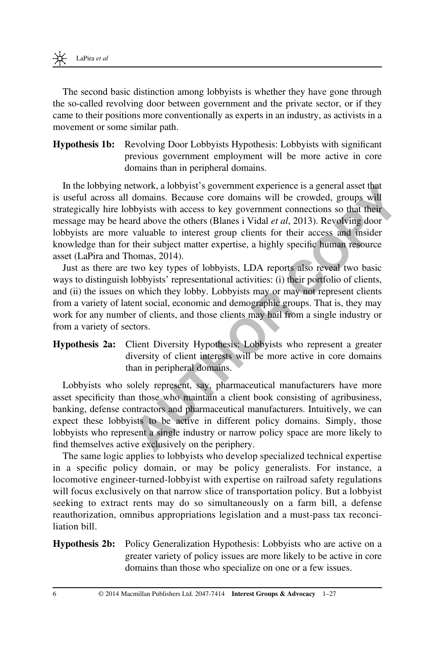

The second basic distinction among lobbyists is whether they have gone through the so-called revolving door between government and the private sector, or if they came to their positions more conventionally as experts in an industry, as activists in a movement or some similar path.

Hypothesis 1b: Revolving Door Lobbyists Hypothesis: Lobbyists with significant previous government employment will be more active in core domains than in peripheral domains.

by the twork, a looby six s government experience is a general asset that<br>y be head as the product of the end down that the looby is be more valual to interest the other of Blansis with access to key government connections In the lobbying network, a lobbyist's government experience is a general asset that is useful across all domains. Because core domains will be crowded, groups will strategically hire lobbyists with access to key government connections so that their message may be heard above the others (Blanes i Vidal et al, 2013). Revolving door lobbyists are more valuable to interest group clients for their access and insider knowledge than for their subject matter expertise, a highly specific human resource asset ([LaPira and Thomas, 2014](#page-20-0)).

Just as there are two key types of lobbyists, LDA reports also reveal two basic ways to distinguish lobbyists' representational activities: (i) their portfolio of clients, and (ii) the issues on which they lobby. Lobbyists may or may not represent clients from a variety of latent social, economic and demographic groups. That is, they may work for any number of clients, and those clients may hail from a single industry or from a variety of sectors.

Hypothesis 2a: Client Diversity Hypothesis: Lobbyists who represent a greater diversity of client interests will be more active in core domains than in peripheral domains.

Lobbyists who solely represent, say, pharmaceutical manufacturers have more asset specificity than those who maintain a client book consisting of agribusiness, banking, defense contractors and pharmaceutical manufacturers. Intuitively, we can expect these lobbyists to be active in different policy domains. Simply, those lobbyists who represent a single industry or narrow policy space are more likely to find themselves active exclusively on the periphery.

The same logic applies to lobbyists who develop specialized technical expertise in a specific policy domain, or may be policy generalists. For instance, a locomotive engineer-turned-lobbyist with expertise on railroad safety regulations will focus exclusively on that narrow slice of transportation policy. But a lobbyist seeking to extract rents may do so simultaneously on a farm bill, a defense reauthorization, omnibus appropriations legislation and a must-pass tax reconciliation bill.

### Hypothesis 2b: Policy Generalization Hypothesis: Lobbyists who are active on a greater variety of policy issues are more likely to be active in core domains than those who specialize on one or a few issues.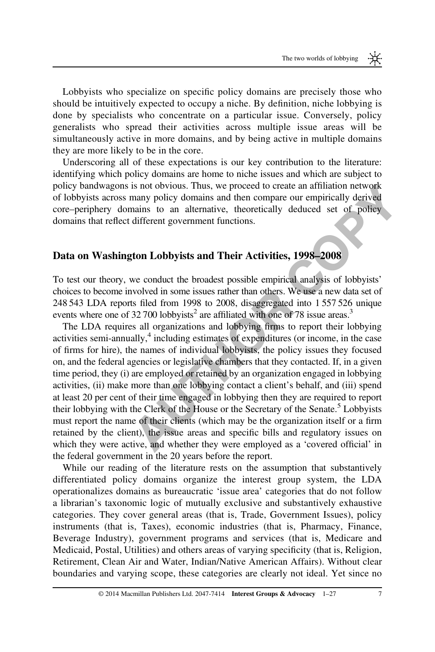Lobbyists who specialize on specific policy domains are precisely those who should be intuitively expected to occupy a niche. By definition, niche lobbying is done by specialists who concentrate on a particular issue. Conversely, policy generalists who spread their activities across multiple issue areas will be simultaneously active in more domains, and by being active in multiple domains they are more likely to be in the core.

Underscoring all of these expectations is our key contribution to the literature: identifying which policy domains are home to niche issues and which are subject to policy bandwagons is not obvious. Thus, we proceed to create an affiliation network of lobbyists across many policy domains and then compare our empirically derived core–periphery domains to an alternative, theoretically deduced set of policy domains that reflect different government functions.

### Data on Washington Lobbyists and Their Activities, 1998–2008

To test our theory, we conduct the broadest possible empirical analysis of lobbyists' choices to become involved in some issues rather than others. We use a new data set of 248 543 LDA reports filed from 1998 to 2008, disaggregated into 1 557 526 unique events where one of 32 700 lobbyists<sup>2</sup> are affiliated with one of 78 issue areas.<sup>3</sup>

wagens is not obvoius. Inus, we proceed to create an armunation herwork<br>a across many policy domains and then compare our empirically derived<br>ery domains to an alternative, theoretically deduced set of policy<br>trelet at ref The LDA requires all organizations and lobbying firms to report their lobbying activities semi-annually, $4$  including estimates of expenditures (or income, in the case of firms for hire), the names of individual lobbyists, the policy issues they focused on, and the federal agencies or legislative chambers that they contacted. If, in a given time period, they (i) are employed or retained by an organization engaged in lobbying activities, (ii) make more than one lobbying contact a client's behalf, and (iii) spend at least 20 per cent of their time engaged in lobbying then they are required to report their lobbying with the Clerk of the House or the Secretary of the Senate.<sup>5</sup> Lobbyists must report the name of their clients (which may be the organization itself or a firm retained by the client), the issue areas and specific bills and regulatory issues on which they were active, and whether they were employed as a 'covered official' in the federal government in the 20 years before the report.

While our reading of the literature rests on the assumption that substantively differentiated policy domains organize the interest group system, the LDA operationalizes domains as bureaucratic 'issue area' categories that do not follow a librarian's taxonomic logic of mutually exclusive and substantively exhaustive categories. They cover general areas (that is, Trade, Government Issues), policy instruments (that is, Taxes), economic industries (that is, Pharmacy, Finance, Beverage Industry), government programs and services (that is, Medicare and Medicaid, Postal, Utilities) and others areas of varying specificity (that is, Religion, Retirement, Clean Air and Water, Indian/Native American Affairs). Without clear boundaries and varying scope, these categories are clearly not ideal. Yet since no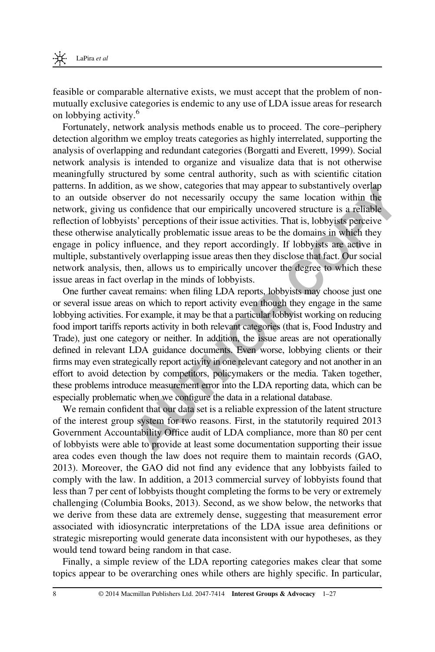feasible or comparable alternative exists, we must accept that the problem of nonmutually exclusive categories is endemic to any use of LDA issue areas for research on lobbying activity.<sup>6</sup>

Fortunately, network analysis methods enable us to proceed. The core–periphery detection algorithm we employ treats categories as highly interrelated, supporting the analysis of overlapping and redundant categories ([Borgatti and Everett, 1999\)](#page-19-0). Social network analysis is intended to organize and visualize data that is not otherwise meaningfully structured by some central authority, such as with scientific citation patterns. In addition, as we show, categories that may appear to substantively overlap to an outside observer do not necessarily occupy the same location within the network, giving us confidence that our empirically uncovered structure is a reliable reflection of lobbyists' perceptions of their issue activities. That is, lobbyists perceive these otherwise analytically problematic issue areas to be the domains in which they engage in policy influence, and they report accordingly. If lobbyists are active in multiple, substantively overlapping issue areas then they disclose that fact. Our social network analysis, then, allows us to empirically uncover the degree to which these issue areas in fact overlap in the minds of lobbyists.

addurin, as we show, categores that may appear to substantively overlap<br>de observer do not necessarily occupy the same location within the<br>ving us confidence that our empirically uncovered structure is a reliable<br>Visios pe One further caveat remains: when filing LDA reports, lobbyists may choose just one or several issue areas on which to report activity even though they engage in the same lobbying activities. For example, it may be that a particular lobbyist working on reducing food import tariffs reports activity in both relevant categories (that is, Food Industry and Trade), just one category or neither. In addition, the issue areas are not operationally defined in relevant LDA guidance documents. Even worse, lobbying clients or their firms may even strategically report activity in one relevant category and not another in an effort to avoid detection by competitors, policymakers or the media. Taken together, these problems introduce measurement error into the LDA reporting data, which can be especially problematic when we configure the data in a relational database.

We remain confident that our data set is a reliable expression of the latent structure of the interest group system for two reasons. First, in the statutorily required 2013 Government Accountability Office audit of LDA compliance, more than 80 per cent of lobbyists were able to provide at least some documentation supporting their issue area codes even though the law does not require them to maintain records ([GAO,](#page-19-0) [2013\)](#page-19-0). Moreover, the GAO did not find any evidence that any lobbyists failed to comply with the law. In addition, a 2013 commercial survey of lobbyists found that less than 7 per cent of lobbyists thought completing the forms to be very or extremely challenging ([Columbia Books, 2013](#page-19-0)). Second, as we show below, the networks that we derive from these data are extremely dense, suggesting that measurement error associated with idiosyncratic interpretations of the LDA issue area definitions or strategic misreporting would generate data inconsistent with our hypotheses, as they would tend toward being random in that case.

Finally, a simple review of the LDA reporting categories makes clear that some topics appear to be overarching ones while others are highly specific. In particular,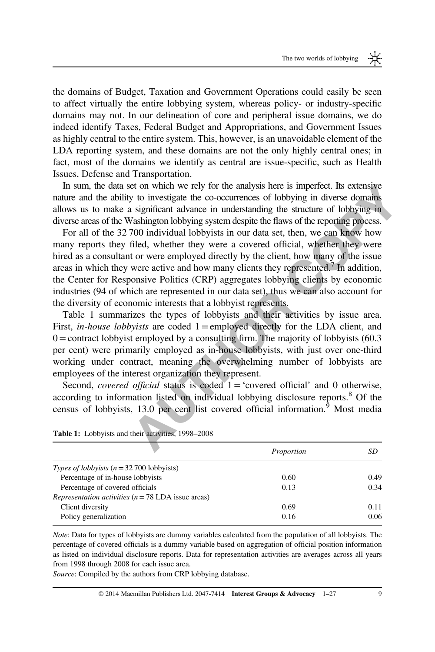the domains of Budget, Taxation and Government Operations could easily be seen to affect virtually the entire lobbying system, whereas policy- or industry-specific domains may not. In our delineation of core and peripheral issue domains, we do indeed identify Taxes, Federal Budget and Appropriations, and Government Issues as highly central to the entire system. This, however, is an unavoidable element of the LDA reporting system, and these domains are not the only highly central ones; in fact, most of the domains we identify as central are issue-specific, such as Health Issues, Defense and Transportation.

In sum, the data set on which we rely for the analysis here is imperfect. Its extensive nature and the ability to investigate the co-occurrences of lobbying in diverse domains allows us to make a significant advance in understanding the structure of lobbying in diverse areas of the Washington lobbying system despite the flaws of the reporting process.

**Example 20** and worst were provided to the analysis here is imperient. Its excessive of MeWarligo In diverse domains make a significant advance in understanding the structure of lobbying in diverse domains make a signific For all of the 32 700 individual lobbyists in our data set, then, we can know how many reports they filed, whether they were a covered official, whether they were hired as a consultant or were employed directly by the client, how many of the issue areas in which they were active and how many clients they represented.<sup>7</sup> In addition, the Center for Responsive Politics (CRP) aggregates lobbying clients by economic industries (94 of which are represented in our data set), thus we can also account for the diversity of economic interests that a lobbyist represents.

Table 1 summarizes the types of lobbyists and their activities by issue area. First, *in-house lobbyists* are coded  $1$  = employed directly for the LDA client, and  $0 =$  contract lobbyist employed by a consulting firm. The majority of lobbyists (60.3) per cent) were primarily employed as in-house lobbyists, with just over one-third working under contract, meaning the overwhelming number of lobbyists are employees of the interest organization they represent.

Second, *covered official* status is coded  $1 = 'covered$  official' and 0 otherwise, according to information listed on individual lobbying disclosure reports.<sup>8</sup> Of the census of lobbyists,  $13.0$  per cent list covered official information.<sup>9</sup> Most media

|                                                             | Proportion | SD   |
|-------------------------------------------------------------|------------|------|
| Types of lobbyists $(n = 32,700)$ lobbyists)                |            |      |
| Percentage of in-house lobbyists                            | 0.60       | 0.49 |
| Percentage of covered officials                             | 0.13       | 0.34 |
| <i>Representation activities</i> $(n = 78$ LDA issue areas) |            |      |
| Client diversity                                            | 0.69       | 0.11 |
| Policy generalization                                       | 0.16       | 0.06 |

|  |  |  |  | <b>Table 1:</b> Lobbyists and their activities, 1998–2008 |
|--|--|--|--|-----------------------------------------------------------|
|--|--|--|--|-----------------------------------------------------------|

Note: Data for types of lobbyists are dummy variables calculated from the population of all lobbyists. The percentage of covered officials is a dummy variable based on aggregation of official position information as listed on individual disclosure reports. Data for representation activities are averages across all years from 1998 through 2008 for each issue area.

Source: Compiled by the authors from CRP lobbying database.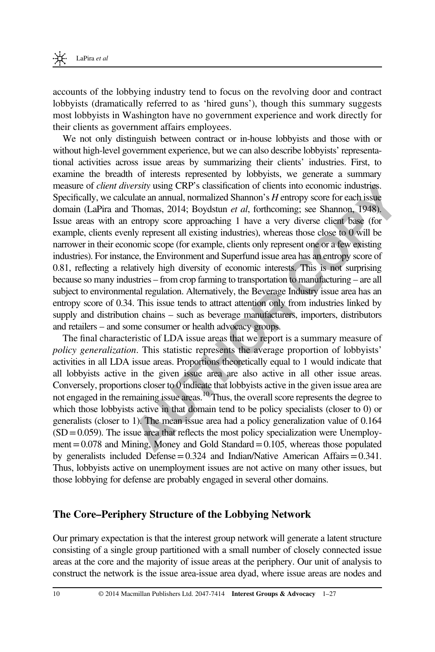accounts of the lobbying industry tend to focus on the revolving door and contract lobbyists (dramatically referred to as 'hired guns'), though this summary suggests most lobbyists in Washington have no government experience and work directly for their clients as government affairs employees.

We not only distinguish between contract or in-house lobbyists and those with or without high-level government experience, but we can also describe lobbyists' representational activities across issue areas by summarizing their clients' industries. First, to examine the breadth of interests represented by lobbyists, we generate a summary measure of *client diversity* using CRP's classification of clients into economic industries. Specifically, we calculate an annual, normalized Shannon's H entropy score for each issue domain ([LaPira and Thomas, 2014](#page-20-0); Boydstun et al, forthcoming; see Shannon, 1948). Issue areas with an entropy score approaching 1 have a very diverse client base (for example, clients evenly represent all existing industries), whereas those close to 0 will be narrower in their economic scope (for example, clients only represent one or a few existing industries). For instance, the Environment and Superfund issue area has an entropy score of 0.81, reflecting a relatively high diversity of economic interests. This is not surprising because so many industries – from crop farming to transportation to manufacturing – are all subject to environmental regulation. Alternatively, the Beverage Industry issue area has an entropy score of 0.34. This issue tends to attract attention only from industries linked by supply and distribution chains – such as beverage manufacturers, importers, distributors and retailers – and some consumer or health advocacy groups.

*Let an aversity* using CK+'s cassistration or cleans into economic Indiastros-<br> *Me* acalitate an annual, normalized Shannon's *H* entropy score for each issue<br>
Pira and Thomas, 2014; Boydstun *et al.*, forthcoming: see The final characteristic of LDA issue areas that we report is a summary measure of policy generalization. This statistic represents the average proportion of lobbyists' activities in all LDA issue areas. Proportions theoretically equal to 1 would indicate that all lobbyists active in the given issue area are also active in all other issue areas. Conversely, proportions closer to 0 indicate that lobbyists active in the given issue area are not engaged in the remaining issue areas.<sup>10</sup> Thus, the overall score represents the degree to which those lobbyists active in that domain tend to be policy specialists (closer to 0) or generalists (closer to 1). The mean issue area had a policy generalization value of 0.164  $(SD = 0.059)$ . The issue area that reflects the most policy specialization were Unemployment $=0.078$  and Mining, Money and Gold Standard $=0.105$ , whereas those populated by generalists included Defense =  $0.324$  and Indian/Native American Affairs =  $0.341$ . Thus, lobbyists active on unemployment issues are not active on many other issues, but those lobbying for defense are probably engaged in several other domains.

### The Core–Periphery Structure of the Lobbying Network

Our primary expectation is that the interest group network will generate a latent structure consisting of a single group partitioned with a small number of closely connected issue areas at the core and the majority of issue areas at the periphery. Our unit of analysis to construct the network is the issue area-issue area dyad, where issue areas are nodes and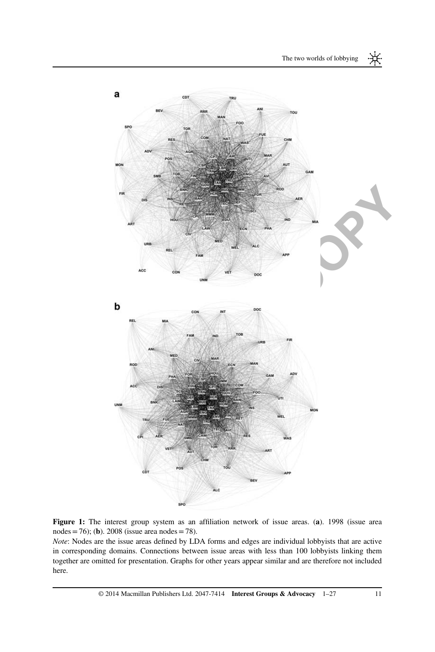

<span id="page-10-0"></span>

Figure 1: The interest group system as an affiliation network of issue areas. (a). 1998 (issue area nodes = 76); (**b**). 2008 (issue area nodes = 78).

Note: Nodes are the issue areas defined by LDA forms and edges are individual lobbyists that are active in corresponding domains. Connections between issue areas with less than 100 lobbyists linking them together are omitted for presentation. Graphs for other years appear similar and are therefore not included here.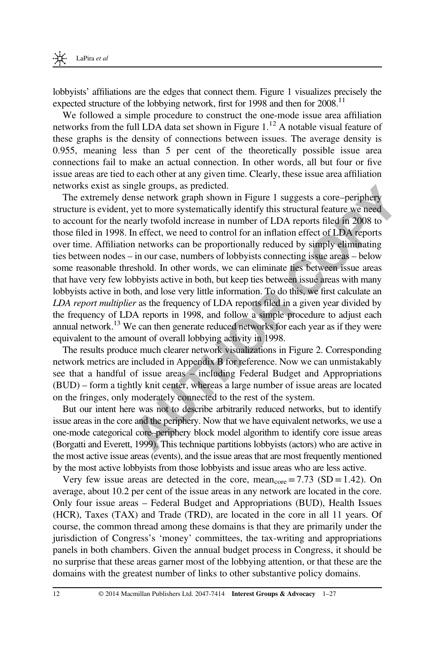lobbyists' affiliations are the edges that connect them. [Figure 1](#page-10-0) visualizes precisely the expected structure of the lobbying network, first for 1998 and then for 2008.<sup>11</sup>

We followed a simple procedure to construct the one-mode issue area affiliation networks from the full LDA data set shown in Figure  $1<sup>12</sup>$  A notable visual feature of these graphs is the density of connections between issues. The average density is 0.955, meaning less than 5 per cent of the theoretically possible issue area connections fail to make an actual connection. In other words, all but four or five issue areas are tied to each other at any given time. Clearly, these issue area affiliation networks exist as single groups, as predicted.

sist as singe groups, as preacted.<br>The stars are singe trans-as as meaded and the core, using the and Expection is structural feature we need on the nearly two fold increase in number of LDA reports in def in 2008 to the n The extremely dense network graph shown in Figure 1 suggests a core–periphery structure is evident, yet to more systematically identify this structural feature we need to account for the nearly twofold increase in number of LDA reports filed in 2008 to those filed in 1998. In effect, we need to control for an inflation effect of LDA reports over time. Affiliation networks can be proportionally reduced by simply eliminating ties between nodes – in our case, numbers of lobbyists connecting issue areas – below some reasonable threshold. In other words, we can eliminate ties between issue areas that have very few lobbyists active in both, but keep ties between issue areas with many lobbyists active in both, and lose very little information. To do this, we first calculate an LDA report multiplier as the frequency of LDA reports filed in a given year divided by the frequency of LDA reports in 1998, and follow a simple procedure to adjust each annual network.<sup>13</sup> We can then generate reduced networks for each year as if they were equivalent to the amount of overall lobbying activity in 1998.

The results produce much clearer network visualizations in Figure 2. Corresponding network metrics are included in Appendix B for reference. Now we can unmistakably see that a handful of issue areas – including Federal Budget and Appropriations (BUD) – form a tightly knit center, whereas a large number of issue areas are located on the fringes, only moderately connected to the rest of the system.

But our intent here was not to describe arbitrarily reduced networks, but to identify issue areas in the core and the periphery. Now that we have equivalent networks, we use a one-mode categorical core–periphery block model algorithm to identify core issue areas [\(Borgatti and Everett, 1999\)](#page-19-0). This technique partitions lobbyists (actors) who are active in the most active issue areas (events), and the issue areas that are most frequently mentioned by the most active lobbyists from those lobbyists and issue areas who are less active.

Very few issue areas are detected in the core, mean<sub>core</sub>=7.73 (SD = 1.42). On average, about 10.2 per cent of the issue areas in any network are located in the core. Only four issue areas – Federal Budget and Appropriations (BUD), Health Issues (HCR), Taxes (TAX) and Trade (TRD), are located in the core in all 11 years. Of course, the common thread among these domains is that they are primarily under the jurisdiction of Congress's 'money' committees, the tax-writing and appropriations panels in both chambers. Given the annual budget process in Congress, it should be no surprise that these areas garner most of the lobbying attention, or that these are the domains with the greatest number of links to other substantive policy domains.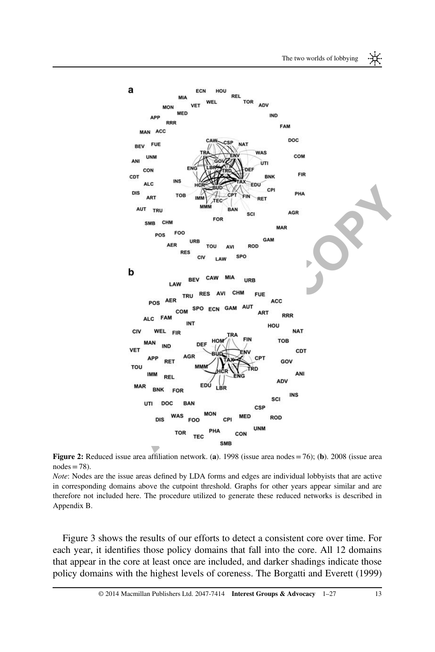<span id="page-12-0"></span>

Figure 2: Reduced issue area affiliation network. (a). 1998 (issue area nodes=76); (b). 2008 (issue area  $nodes = 78$ .

Note: Nodes are the issue areas defined by LDA forms and edges are individual lobbyists that are active in corresponding domains above the cutpoint threshold. Graphs for other years appear similar and are therefore not included here. The procedure utilized to generate these reduced networks is described in Appendix B.

[Figure 3](#page-13-0) shows the results of our efforts to detect a consistent core over time. For each year, it identifies those policy domains that fall into the core. All 12 domains that appear in the core at least once are included, and darker shadings indicate those policy domains with the highest levels of coreness. The [Borgatti and Everett \(1999\)](#page-19-0)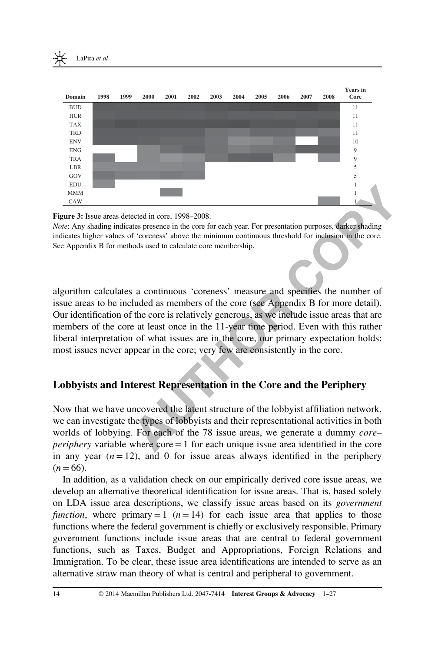<span id="page-13-0"></span>



LaPira et al

Note: Any shading indicates presence in the core for each year. For presentation purposes, darker shading indicates higher values of 'coreness' above the minimum continuous threshold for inclusion in the core. See Appendix B for methods used to calculate core membership.

 **AUTHOR COPY** algorithm calculates a continuous 'coreness' measure and specifies the number of issue areas to be included as members of the core (see Appendix B for more detail). Our identification of the core is relatively generous, as we include issue areas that are members of the core at least once in the 11-year time period. Even with this rather liberal interpretation of what issues are in the core, our primary expectation holds: most issues never appear in the core; very few are consistently in the core.

# Lobbyists and Interest Representation in the Core and the Periphery

Now that we have uncovered the latent structure of the lobbyist affiliation network, we can investigate the types of lobbyists and their representational activities in both worlds of lobbying. For each of the 78 issue areas, we generate a dummy *core*– *periphery* variable where  $\text{core} = 1$  for each unique issue area identified in the core in any year  $(n=12)$ , and 0 for issue areas always identified in the periphery  $(n = 66)$ .

In addition, as a validation check on our empirically derived core issue areas, we develop an alternative theoretical identification for issue areas. That is, based solely on LDA issue area descriptions, we classify issue areas based on its government function, where primary = 1 ( $n = 14$ ) for each issue area that applies to those functions where the federal government is chiefly or exclusively responsible. Primary government functions include issue areas that are central to federal government functions, such as Taxes, Budget and Appropriations, Foreign Relations and Immigration. To be clear, these issue area identifications are intended to serve as an alternative straw man theory of what is central and peripheral to government.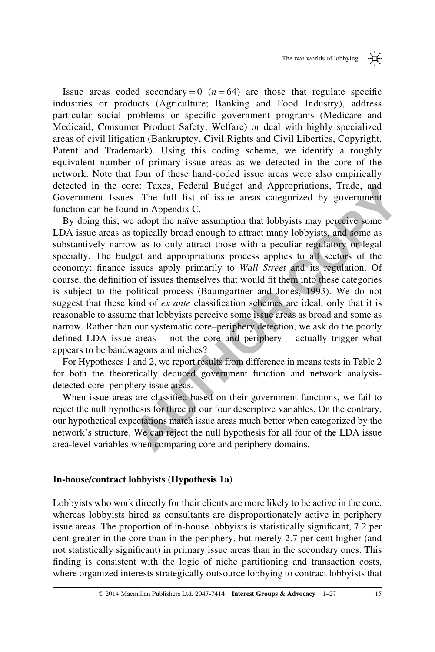Issue areas coded secondary = 0  $(n=64)$  are those that regulate specific industries or products (Agriculture; Banking and Food Industry), address particular social problems or specific government programs (Medicare and Medicaid, Consumer Product Safety, Welfare) or deal with highly specialized areas of civil litigation (Bankruptcy, Civil Rights and Civil Liberties, Copyright, Patent and Trademark). Using this coding scheme, we identify a roughly equivalent number of primary issue areas as we detected in the core of the network. Note that four of these hand-coded issue areas were also empirically detected in the core: Taxes, Federal Budget and Appropriations, Trade, and Government Issues. The full list of issue areas categorized by government function can be found in Appendix C.

Ince fore: **Exacts**, readeral Budget and Appropriations, Trace, and<br>
It Issues. The full list of issue areas categorized by government<br>
the found in Appendix [C](#page-19-0).<br>
this, we adopt the naive assumption that loobby isst may per By doing this, we adopt the naïve assumption that lobbyists may perceive some LDA issue areas as topically broad enough to attract many lobbyists, and some as substantively narrow as to only attract those with a peculiar regulatory or legal specialty. The budget and appropriations process applies to all sectors of the economy; finance issues apply primarily to Wall Street and its regulation. Of course, the definition of issues themselves that would fit them into these categories is subject to the political process (Baumgartner and Jones, 1993). We do not suggest that these kind of *ex ante* classification schemes are ideal, only that it is reasonable to assume that lobbyists perceive some issue areas as broad and some as narrow. Rather than our systematic core–periphery detection, we ask do the poorly defined LDA issue areas – not the core and periphery – actually trigger what appears to be bandwagons and niches?

For Hypotheses 1 and 2, we report results from difference in means tests in Table 2 for both the theoretically deduced government function and network analysisdetected core–periphery issue areas.

When issue areas are classified based on their government functions, we fail to reject the null hypothesis for three of our four descriptive variables. On the contrary, our hypothetical expectations match issue areas much better when categorized by the network's structure. We can reject the null hypothesis for all four of the LDA issue area-level variables when comparing core and periphery domains.

#### In-house/contract lobbyists (Hypothesis 1a)

Lobbyists who work directly for their clients are more likely to be active in the core, whereas lobbyists hired as consultants are disproportionately active in periphery issue areas. The proportion of in-house lobbyists is statistically significant, 7.2 per cent greater in the core than in the periphery, but merely 2.7 per cent higher (and not statistically significant) in primary issue areas than in the secondary ones. This finding is consistent with the logic of niche partitioning and transaction costs, where organized interests strategically outsource lobbying to contract lobbyists that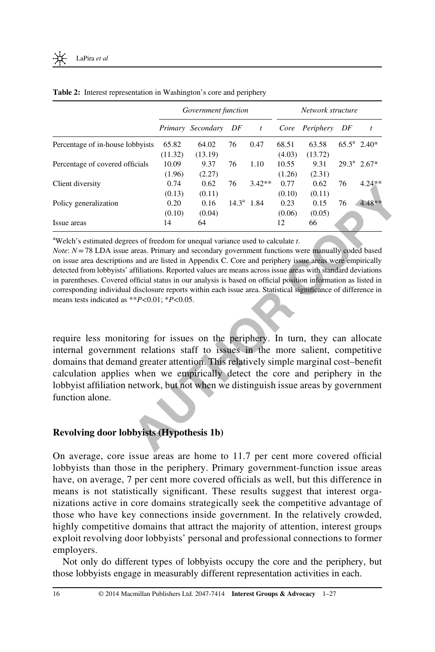|                                  | Government function |                      |               | Network structure |        |                |    |                      |
|----------------------------------|---------------------|----------------------|---------------|-------------------|--------|----------------|----|----------------------|
|                                  |                     | Primary Secondary DF |               | $\mathbf{t}$      |        | Core Periphery | DF |                      |
| Percentage of in-house lobbyists | 65.82               | 64.02                | 76            | 0.47              | 68.51  | 63.58          |    | $65.5^{\rm a}$ 2.40* |
|                                  | (11.32)             | (13.19)              |               |                   | (4.03) | (13.72)        |    |                      |
| Percentage of covered officials  | 10.09               | 9.37                 | 76            | 1.10              | 10.55  | 9.31           |    | $29.3^a$ 2.67*       |
|                                  | (1.96)              | (2.27)               |               |                   | (1.26) | (2.31)         |    |                      |
| Client diversity                 | 0.74                | 0.62                 | 76            | $3.42**$          | 0.77   | 0.62           | 76 | $4.24**$             |
|                                  | (0.13)              | (0.11)               |               |                   | (0.10) | (0.11)         |    |                      |
| Policy generalization            | 0.20                | 0.16                 | $14.3^a$ 1.84 |                   | 0.23   | 0.15           | 76 | $4.48**$             |
|                                  | (0.10)              | (0.04)               |               |                   | (0.06) | (0.05)         |    |                      |
| Issue areas                      | 14                  | 64                   |               |                   | 12     | 66             |    |                      |

<span id="page-15-0"></span>Table 2: Interest representation in Washington's core and periphery

<sup>a</sup>Welch's estimated degrees of freedom for unequal variance used to calculate t.

*Note:*  $N = 78$  LDA issue areas. Primary and secondary government functions were manually coded based on issue area descriptions and are listed in Appendix C. Core and periphery issue areas were empirically detected from lobbyists' affiliations. Reported values are means across issue areas with standard deviations in parentheses. Covered official status in our analysis is based on official position information as listed in corresponding individual disclosure reports within each issue area. Statistical significance of difference in means tests indicated as  $*P<0.01$ ;  $*P<0.05$ .

**Example 10.13** (0.13) (0.11) (0.11) (0.11) (0.11) (0.11) (0.11) (0.11) (0.11) (0.11) (0.11) (0.11) (0.11) (0.11) (0.11) (0.11) (0.11) (0.11) (0.11) (0.11) (0.11) (0.11) (0.11) (0.11) (0.11) (0.11) (0.11) (0.11) (0.11) (0. require less monitoring for issues on the periphery. In turn, they can allocate internal government relations staff to issues in the more salient, competitive domains that demand greater attention. This relatively simple marginal cost–benefit calculation applies when we empirically detect the core and periphery in the lobbyist affiliation network, but not when we distinguish issue areas by government function alone.

## Revolving door lobbyists (Hypothesis 1b)

On average, core issue areas are home to 11.7 per cent more covered official lobbyists than those in the periphery. Primary government-function issue areas have, on average, 7 per cent more covered officials as well, but this difference in means is not statistically significant. These results suggest that interest organizations active in core domains strategically seek the competitive advantage of those who have key connections inside government. In the relatively crowded, highly competitive domains that attract the majority of attention, interest groups exploit revolving door lobbyists' personal and professional connections to former employers.

Not only do different types of lobbyists occupy the core and the periphery, but those lobbyists engage in measurably different representation activities in each.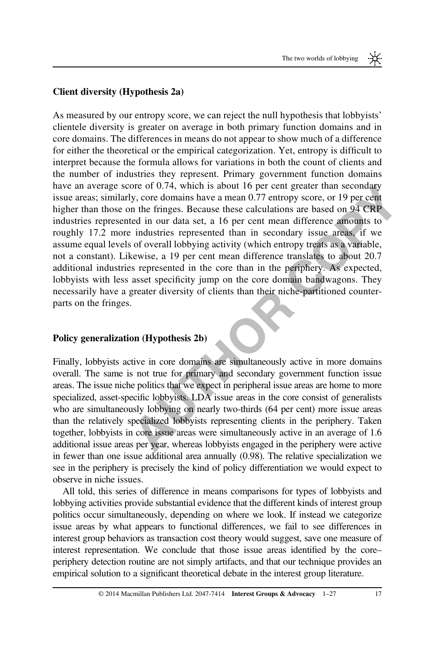

#### Client diversity (Hypothesis 2a)

As measured by our entropy score, we can reject the null hypothesis that lobbyists' clientele diversity is greater on average in both primary function domains and in core domains. The differences in means do not appear to show much of a difference for either the theoretical or the empirical categorization. Yet, entropy is difficult to interpret because the formula allows for variations in both the count of clients and the number of industries they represent. Primary government function domains have an average score of 0.74, which is about 16 per cent greater than secondary issue areas; similarly, core domains have a mean 0.77 entropy score, or 19 per cent higher than those on the fringes. Because these calculations are based on 94 CRP industries represented in our data set, a 16 per cent mean difference amounts to roughly 17.2 more industries represented than in secondary issue areas, if we assume equal levels of overall lobbying activity (which entropy treats as a variable, not a constant). Likewise, a 19 per cent mean difference translates to about 20.7 additional industries represented in the core than in the periphery. As expected, lobbyists with less asset specificity jump on the core domain bandwagons. They necessarily have a greater diversity of clients than their niche-partitioned counterparts on the fringes.

#### Policy generalization (Hypothesis 2b)

Frage score of U./4, which is about 1 to per cent greater fan secondary<br>similarly, ore domains have a mean 0.77 entropy score, or 19 per cent<br>those on the fringes. Because these calculations are based on 94 CRP<br>cepresented Finally, lobbyists active in core domains are simultaneously active in more domains overall. The same is not true for primary and secondary government function issue areas. The issue niche politics that we expect in peripheral issue areas are home to more specialized, asset-specific lobbyists. LDA issue areas in the core consist of generalists who are simultaneously lobbying on nearly two-thirds (64 per cent) more issue areas than the relatively specialized lobbyists representing clients in the periphery. Taken together, lobbyists in core issue areas were simultaneously active in an average of 1.6 additional issue areas per year, whereas lobbyists engaged in the periphery were active in fewer than one issue additional area annually (0.98). The relative specialization we see in the periphery is precisely the kind of policy differentiation we would expect to observe in niche issues.

All told, this series of difference in means comparisons for types of lobbyists and lobbying activities provide substantial evidence that the different kinds of interest group politics occur simultaneously, depending on where we look. If instead we categorize issue areas by what appears to functional differences, we fail to see differences in interest group behaviors as transaction cost theory would suggest, save one measure of interest representation. We conclude that those issue areas identified by the core– periphery detection routine are not simply artifacts, and that our technique provides an empirical solution to a significant theoretical debate in the interest group literature.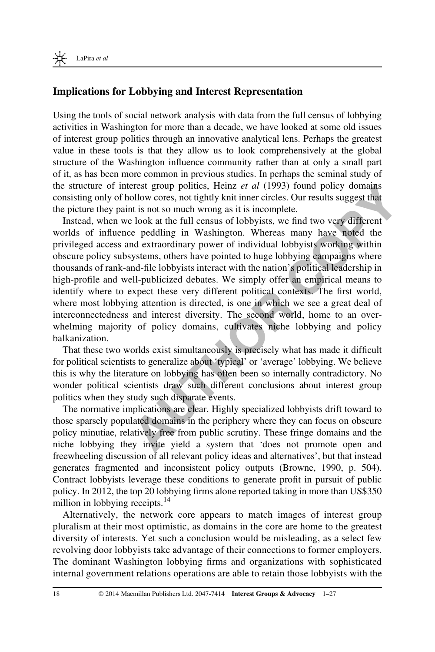### Implications for Lobbying and Interest Representation

Using the tools of social network analysis with data from the full census of lobbying activities in Washington for more than a decade, we have looked at some old issues of interest group politics through an innovative analytical lens. Perhaps the greatest value in these tools is that they allow us to look comprehensively at the global structure of the Washington influence community rather than at only a small part of it, as has been more common in previous studies. In perhaps the seminal study of the structure of interest group politics, Heinz et al (1993) found policy domains consisting only of hollow cores, not tightly knit inner circles. Our results suggest that the picture they paint is not so much wrong as it is incomplete.

is or interest group points; then zer all (1993) tomal points and the bind and the bind or the decomposition of hollow cores, not tightly knit inter circles. Our results suggest that they paint is not so much wrong as it i Instead, when we look at the full census of lobbyists, we find two very different worlds of influence peddling in Washington. Whereas many have noted the privileged access and extraordinary power of individual lobbyists working within obscure policy subsystems, others have pointed to huge lobbying campaigns where thousands of rank-and-file lobbyists interact with the nation's political leadership in high-profile and well-publicized debates. We simply offer an empirical means to identify where to expect these very different political contexts. The first world, where most lobbying attention is directed, is one in which we see a great deal of interconnectedness and interest diversity. The second world, home to an overwhelming majority of policy domains, cultivates niche lobbying and policy balkanization.

That these two worlds exist simultaneously is precisely what has made it difficult for political scientists to generalize about 'typical' or 'average' lobbying. We believe this is why the literature on lobbying has often been so internally contradictory. No wonder political scientists draw such different conclusions about interest group politics when they study such disparate events.

The normative implications are clear. Highly specialized lobbyists drift toward to those sparsely populated domains in the periphery where they can focus on obscure policy minutiae, relatively free from public scrutiny. These fringe domains and the niche lobbying they invite yield a system that 'does not promote open and freewheeling discussion of all relevant policy ideas and alternatives', but that instead generates fragmented and inconsistent policy outputs ([Browne, 1990,](#page-19-0) p. 504). Contract lobbyists leverage these conditions to generate profit in pursuit of public policy. In 2012, the top 20 lobbying firms alone reported taking in more than US\$350 million in lobbying receipts.<sup>14</sup>

Alternatively, the network core appears to match images of interest group pluralism at their most optimistic, as domains in the core are home to the greatest diversity of interests. Yet such a conclusion would be misleading, as a select few revolving door lobbyists take advantage of their connections to former employers. The dominant Washington lobbying firms and organizations with sophisticated internal government relations operations are able to retain those lobbyists with the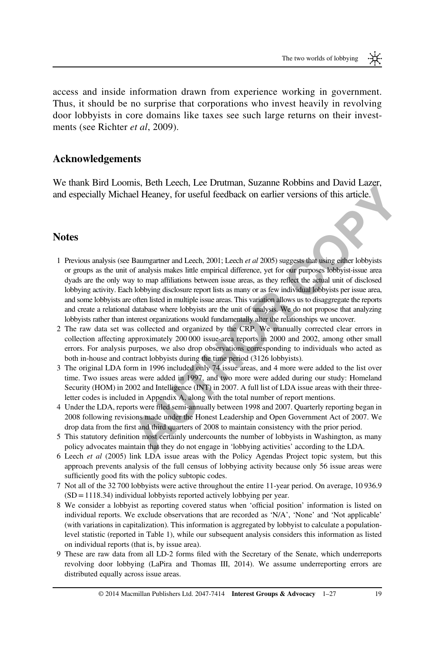access and inside information drawn from experience working in government. Thus, it should be no surprise that corporations who invest heavily in revolving door lobbyists in core domains like taxes see such large returns on their investments (see [Richter](#page-20-0) et al, 2009).

### Acknowledgements

We thank Bird Loomis, Beth Leech, Lee Drutman, Suzanne Robbins and David Lazer, and especially Michael Heaney, for useful feedback on earlier versions of this article.

### **Notes**

- **Example 10** Mondel Heapty, for useful freedback on earlier versions of this article.<br> **AUTHOR COPY** Michael Heanny, for useful freedback on earlier versions of this article.<br> **AUTHOR COPY** Michael Heanny of the empirical 1 Previous analysis (see Baumgartner and Leech, 2001; Leech et al 2005) suggests that using either lobbyists or groups as the unit of analysis makes little empirical difference, yet for our purposes lobbyist-issue area dyads are the only way to map affiliations between issue areas, as they reflect the actual unit of disclosed lobbying activity. Each lobbying disclosure report lists as many or as few individual lobbyists per issue area, and some lobbyists are often listed in multiple issue areas. This variation allows us to disaggregate the reports and create a relational database where lobbyists are the unit of analysis. We do not propose that analyzing lobbyists rather than interest organizations would fundamentally alter the relationships we uncover.
- 2 The raw data set was collected and organized by the CRP. We manually corrected clear errors in collection affecting approximately 200 000 issue-area reports in 2000 and 2002, among other small errors. For analysis purposes, we also drop observations corresponding to individuals who acted as both in-house and contract lobbyists during the time period (3126 lobbyists).
- 3 The original LDA form in 1996 included only 74 issue areas, and 4 more were added to the list over time. Two issues areas were added in 1997, and two more were added during our study: Homeland Security (HOM) in 2002 and Intelligence (INT) in 2007. A full list of LDA issue areas with their threeletter codes is included in Appendix A, along with the total number of report mentions.
- 4 Under the LDA, reports were filed semi-annually between 1998 and 2007. Quarterly reporting began in 2008 following revisions made under the Honest Leadership and Open Government Act of 2007. We drop data from the first and third quarters of 2008 to maintain consistency with the prior period.
- 5 This statutory definition most certainly undercounts the number of lobbyists in Washington, as many policy advocates maintain that they do not engage in 'lobbying activities' according to the LDA.
- 6 Leech et al (2005) link LDA issue areas with the Policy Agendas Project topic system, but this approach prevents analysis of the full census of lobbying activity because only 56 issue areas were sufficiently good fits with the policy subtopic codes.
- 7 Not all of the 32 700 lobbyists were active throughout the entire 11-year period. On average, 10 936.9  $(SD = 1118.34)$  individual lobbyists reported actively lobbying per year.
- 8 We consider a lobbyist as reporting covered status when 'official position' information is listed on individual reports. We exclude observations that are recorded as 'N/A', 'None' and 'Not applicable' (with variations in capitalization). This information is aggregated by lobbyist to calculate a populationlevel statistic (reported in Table 1), while our subsequent analysis considers this information as listed on individual reports (that is, by issue area).
- 9 These are raw data from all LD-2 forms filed with the Secretary of the Senate, which underreports revolving door lobbying ([LaPira and Thomas III, 2014](#page-20-0)). We assume underreporting errors are distributed equally across issue areas.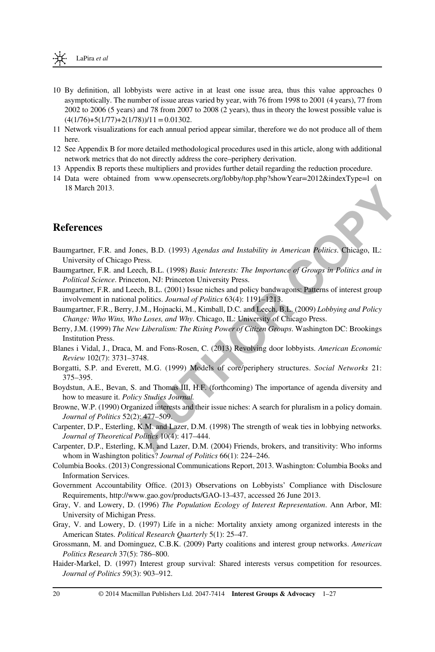- <span id="page-19-0"></span>10 By definition, all lobbyists were active in at least one issue area, thus this value approaches 0 asymptotically. The number of issue areas varied by year, with 76 from 1998 to 2001 (4 years), 77 from 2002 to 2006 (5 years) and 78 from 2007 to 2008 (2 years), thus in theory the lowest possible value is  $(4(1/76)+5(1/77)+2(1/78))/11 = 0.01302$ .
- 11 Network visualizations for each annual period appear similar, therefore we do not produce all of them here.
- 12 See Appendix B for more detailed methodological procedures used in this article, along with additional network metrics that do not directly address the core–periphery derivation.
- 13 Appendix B reports these multipliers and provides further detail regarding the reduction procedure.
- 14 Data were obtained from [www.opensecrets.org/lobby/top.php?showYear](www.opensecrets.org/lobby/top.php?showYear=2012&indexType=l)=2012&indexType=l on 18 March 2013.

#### **References**

- **SPARE ASSAUTE:**<br> **SPARE AND** JONES, B.D. (1993) Agendas and Instability in American Politics. Chicago, IL:<br> **F.R. and Lecch, B.L. (1998)** *Basic Interests: The Importance of Groups in Politics and in time.e. Princeton, NJ* Baumgartner, F.R. and Jones, B.D. (1993) Agendas and Instability in American Politics. Chicago, IL: University of Chicago Press.
- Baumgartner, F.R. and Leech, B.L. (1998) Basic Interests: The Importance of Groups in Politics and in Political Science. Princeton, NJ: Princeton University Press.
- Baumgartner, F.R. and Leech, B.L. (2001) Issue niches and policy bandwagons: Patterns of interest group involvement in national politics. Journal of Politics 63(4): 1191–1213.
- Baumgartner, F.R., Berry, J.M., Hojnacki, M., Kimball, D.C. and Leech, B.L. (2009) Lobbying and Policy Change: Who Wins, Who Loses, and Why. Chicago, IL: University of Chicago Press.
- Berry, J.M. (1999) The New Liberalism: The Rising Power of Citizen Groups. Washington DC: Brookings Institution Press.
- Blanes i Vidal, J., Draca, M. and Fons-Rosen, C. (2013) Revolving door lobbyists. American Economic Review 102(7): 3731–3748.
- Borgatti, S.P. and Everett, M.G. (1999) Models of core/periphery structures. Social Networks 21: 375–395.
- Boydstun, A.E., Bevan, S. and Thomas III, H.F. (forthcoming) The importance of agenda diversity and how to measure it. Policy Studies Journal.
- Browne, W.P. (1990) Organized interests and their issue niches: A search for pluralism in a policy domain. Journal of Politics 52(2): 477–509.
- Carpenter, D.P., Esterling, K.M. and Lazer, D.M. (1998) The strength of weak ties in lobbying networks. Journal of Theoretical Politics 10(4): 417–444.
- Carpenter, D.P., Esterling, K.M. and Lazer, D.M. (2004) Friends, brokers, and transitivity: Who informs whom in Washington politics? *Journal of Politics* 66(1): 224–246.
- Columbia Books. (2013) Congressional Communications Report, 2013. Washington: Columbia Books and Information Services.
- Government Accountability Office. (2013) Observations on Lobbyists' Compliance with Disclosure Requirements,<http://www.gao.gov/products/GAO-13-437>, accessed 26 June 2013.
- Gray, V. and Lowery, D. (1996) The Population Ecology of Interest Representation. Ann Arbor, MI: University of Michigan Press.
- Gray, V. and Lowery, D. (1997) Life in a niche: Mortality anxiety among organized interests in the American States. Political Research Quarterly 5(1): 25–47.
- Grossmann, M. and Dominguez, C.B.K. (2009) Party coalitions and interest group networks. American Politics Research 37(5): 786–800.
- Haider-Markel, D. (1997) Interest group survival: Shared interests versus competition for resources. Journal of Politics 59(3): 903–912.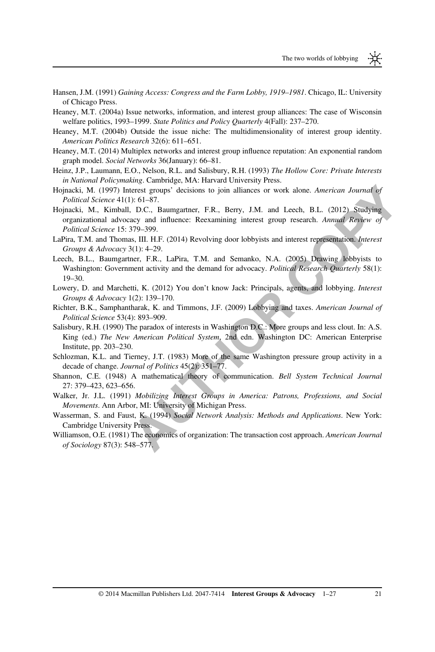- <span id="page-20-0"></span>Hansen, J.M. (1991) Gaining Access: Congress and the Farm Lobby, 1919–1981. Chicago, IL: University of Chicago Press.
- Heaney, M.T. (2004a) Issue networks, information, and interest group alliances: The case of Wisconsin welfare politics, 1993–1999. State Politics and Policy Quarterly 4(Fall): 237–270.
- Heaney, M.T. (2004b) Outside the issue niche: The multidimensionality of interest group identity. American Politics Research 32(6): 611–651.
- Heaney, M.T. (2014) Multiplex networks and interest group influence reputation: An exponential random graph model. Social Networks 36(January): 66–81.
- Heinz, J.P., Laumann, E.O., Nelson, R.L. and Salisbury, R.H. (1993) The Hollow Core: Private Interests in National Policymaking. Cambridge, MA: Harvard University Press.
- Hojnacki, M. (1997) Interest groups' decisions to join alliances or work alone. American Journal of Political Science 41(1): 61–87.
- (1997) Interet groups<sup>2</sup> decisions to join alliances or work alone. American Journal of<br>
eience 41(1): 61-87.<br> **Kimball, D.C.**, Baumgartner, F.R., Berry, J.M. and Leech, B.L. (2012) Studying<br>
and advocacy and infuence: Ree Hojnacki, M., Kimball, D.C., Baumgartner, F.R., Berry, J.M. and Leech, B.L. (2012) Studying organizational advocacy and influence: Reexamining interest group research. Annual Review of Political Science 15: 379–399.
- LaPira, T.M. and Thomas, III. H.F. (2014) Revolving door lobbyists and interest representation. Interest Groups & Advocacy 3(1): 4–29.
- Leech, B.L., Baumgartner, F.R., LaPira, T.M. and Semanko, N.A. (2005) Drawing lobbyists to Washington: Government activity and the demand for advocacy. Political Research Quarterly 58(1): 19–30.
- Lowery, D. and Marchetti, K. (2012) You don't know Jack: Principals, agents, and lobbying. Interest Groups & Advocacy 1(2): 139–170.
- Richter, B.K., Samphantharak, K. and Timmons, J.F. (2009) Lobbying and taxes. American Journal of Political Science 53(4): 893–909.
- Salisbury, R.H. (1990) The paradox of interests in Washington D.C.: More groups and less clout. In: A.S. King (ed.) The New American Political System, 2nd edn. Washington DC: American Enterprise Institute, pp. 203–230.
- Schlozman, K.L. and Tierney, J.T. (1983) More of the same Washington pressure group activity in a decade of change. Journal of Politics 45(2): 351–77.
- Shannon, C.E. (1948) A mathematical theory of communication. Bell System Technical Journal 27: 379–423, 623–656.
- Walker, Jr. J.L. (1991) Mobilizing Interest Groups in America: Patrons, Professions, and Social Movements. Ann Arbor, MI: University of Michigan Press.
- Wasserman, S. and Faust, K. (1994) Social Network Analysis: Methods and Applications. New York: Cambridge University Press.
- Williamson, O.E. (1981) The economics of organization: The transaction cost approach. American Journal of Sociology 87(3): 548–577.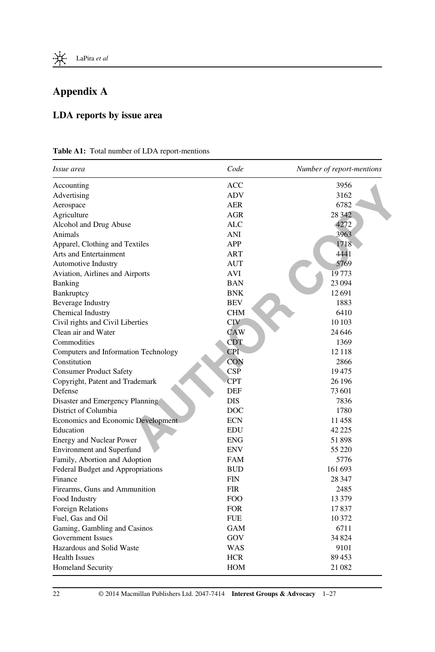<span id="page-21-0"></span>

# Appendix A

# LDA reports by issue area

#### Table A1: Total number of LDA report-mentions

| Issue area                           | Code       | Number of report-mentions |
|--------------------------------------|------------|---------------------------|
| Accounting                           | <b>ACC</b> | 3956                      |
| Advertising                          | ADV        | 3162                      |
| Aerospace                            | <b>AER</b> | 6782                      |
| Agriculture                          | AGR        | 28 3 4 2                  |
| Alcohol and Drug Abuse               | <b>ALC</b> | 4272                      |
| Animals                              | ANI        | 3963                      |
| Apparel, Clothing and Textiles       | APP        | 1718                      |
| Arts and Entertainment               | ART        | 4441                      |
| <b>Automotive Industry</b>           | <b>AUT</b> | 5769                      |
| Aviation, Airlines and Airports      | AVI        | 19773                     |
| Banking                              | <b>BAN</b> | 23 094                    |
| Bankruptcy                           | BNK        | 12691                     |
| <b>Beverage Industry</b>             | <b>BEV</b> | 1883                      |
| Chemical Industry                    | <b>CHM</b> | 6410                      |
| Civil rights and Civil Liberties     | <b>CIV</b> | 10 10 3                   |
| Clean air and Water                  | CAW        | 24 646                    |
| Commodities                          | <b>CDT</b> | 1369                      |
| Computers and Information Technology | <b>CPI</b> | 12 118                    |
| Constitution                         | <b>CON</b> | 2866                      |
| <b>Consumer Product Safety</b>       | CSP        | 19475                     |
| Copyright, Patent and Trademark      | <b>CPT</b> | 26 196                    |
| Defense                              | DEF        | 73 601                    |
| Disaster and Emergency Planning      | <b>DIS</b> | 7836                      |
| District of Columbia                 | DOC        | 1780                      |
| Economics and Economic Development   | <b>ECN</b> | 11458                     |
| Education                            | <b>EDU</b> | 42 2 2 5                  |
| <b>Energy and Nuclear Power</b>      | <b>ENG</b> | 51898                     |
| <b>Environment and Superfund</b>     | <b>ENV</b> | 55 220                    |
| Family, Abortion and Adoption        | <b>FAM</b> | 5776                      |
| Federal Budget and Appropriations    | <b>BUD</b> | 161 693                   |
| Finance                              | <b>FIN</b> | 28 347                    |
| Firearms, Guns and Ammunition        | <b>FIR</b> | 2485                      |
| Food Industry                        | FOO        | 13 3 7 9                  |
| <b>Foreign Relations</b>             | <b>FOR</b> | 17837                     |
| Fuel, Gas and Oil                    | <b>FUE</b> | 10 372                    |
| Gaming, Gambling and Casinos         | <b>GAM</b> | 6711                      |
| Government Issues                    | GOV        | 34 824                    |
| Hazardous and Solid Waste            | WAS        | 9101                      |
| <b>Health Issues</b>                 | <b>HCR</b> | 89453                     |
| <b>Homeland Security</b>             | HOM        | 21 082                    |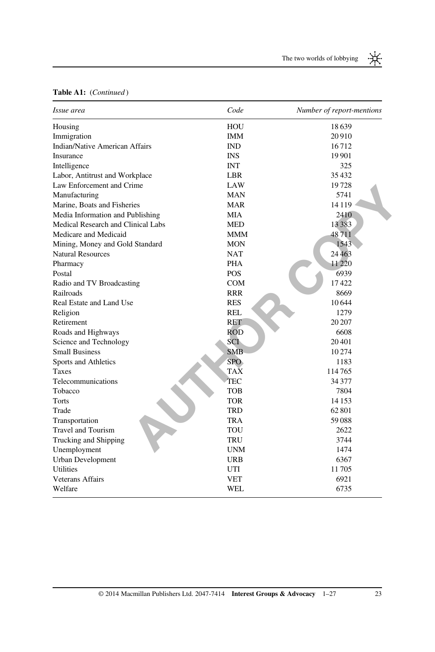

| Issue area                            | Code       | Number of report-mentions |
|---------------------------------------|------------|---------------------------|
| Housing                               | HOU        | 18639                     |
| Immigration                           | <b>IMM</b> | 20910                     |
| <b>Indian/Native American Affairs</b> | <b>IND</b> | 16712                     |
| Insurance                             | <b>INS</b> | 19 901                    |
| Intelligence                          | <b>INT</b> | 325                       |
| Labor, Antitrust and Workplace        | <b>LBR</b> | 35 4 32                   |
| Law Enforcement and Crime             | LAW        | 19728                     |
| Manufacturing                         | <b>MAN</b> | 5741                      |
| Marine, Boats and Fisheries           | <b>MAR</b> | 14 1 19                   |
| Media Information and Publishing      | MIA        | 2410                      |
| Medical Research and Clinical Labs    | <b>MED</b> | 13 38 3                   |
| Medicare and Medicaid                 | <b>MMM</b> | 48 711                    |
| Mining, Money and Gold Standard       | <b>MON</b> | 1543                      |
| <b>Natural Resources</b>              | <b>NAT</b> | 24 463                    |
| Pharmacy                              | <b>PHA</b> | 11 220                    |
| Postal                                | <b>POS</b> | 6939                      |
| Radio and TV Broadcasting             | <b>COM</b> | 17422                     |
| Railroads                             | <b>RRR</b> | 8669                      |
| Real Estate and Land Use              | <b>RES</b> | 10 644                    |
| Religion                              | <b>REL</b> | 1279                      |
| Retirement                            | <b>RET</b> | 20 20 7                   |
| Roads and Highways                    | <b>ROD</b> | 6608                      |
| Science and Technology                | <b>SCI</b> | 20401                     |
| <b>Small Business</b>                 | <b>SMB</b> | 10 274                    |
| Sports and Athletics                  | SPO.       | 1183                      |
| Taxes                                 | TAX        | 114765                    |
| Telecommunications                    | <b>TEC</b> | 34 377                    |
| Tobacco                               | TOB        | 7804                      |
| Torts                                 | TOR        | 14 153                    |
| Trade                                 | TRD        | 62 801                    |
| Transportation                        | <b>TRA</b> | 59088                     |
| Travel and Tourism                    | TOU        | 2622                      |
| Trucking and Shipping                 | TRU        | 3744                      |
| Unemployment                          | <b>UNM</b> | 1474                      |
| <b>Urban Development</b>              | <b>URB</b> | 6367                      |
| <b>Utilities</b>                      | UTI        | 11 705                    |
| <b>Veterans Affairs</b>               | <b>VET</b> | 6921                      |
| Welfare                               | WEL        | 6735                      |

#### Table A1: (Continued)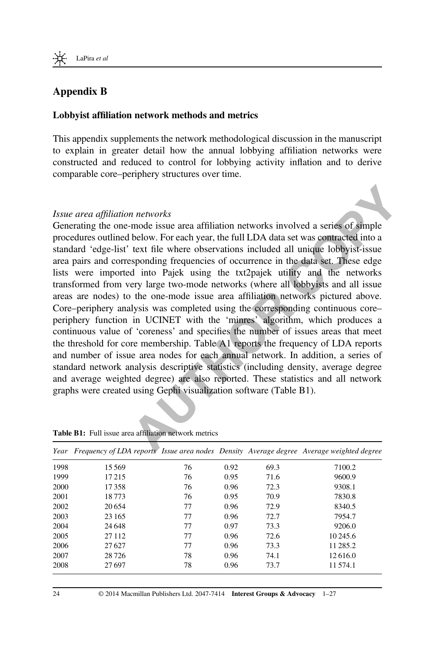# Appendix B

## Lobbyist affiliation network methods and metrics

This appendix supplements the network methodological discussion in the manuscript to explain in greater detail how the annual lobbying affiliation networks were constructed and reduced to control for lobbying activity inflation and to derive comparable core–periphery structures over time.

### Issue area affiliation networks

 **AUT[HO](#page-21-0)R COPY** Generating the one-mode issue area affiliation networks involved a series of simple procedures outlined below. For each year, the full LDA data set was contracted into a standard 'edge-list' text file where observations included all unique lobbyist-issue area pairs and corresponding frequencies of occurrence in the data set. These edge lists were imported into Pajek using the txt2pajek utility and the networks transformed from very large two-mode networks (where all lobbyists and all issue areas are nodes) to the one-mode issue area affiliation networks pictured above. Core–periphery analysis was completed using the corresponding continuous core– periphery function in UCINET with the 'minres' algorithm, which produces a continuous value of 'coreness' and specifies the number of issues areas that meet the threshold for core membership. Table A1 reports the frequency of LDA reports and number of issue area nodes for each annual network. In addition, a series of standard network analysis descriptive statistics (including density, average degree and average weighted degree) are also reported. These statistics and all network graphs were created using Gephi visualization software (Table B1).

|      | Year Frequency of LDA reports Issue area nodes Density Average degree Average weighted degree |    |      |      |          |
|------|-----------------------------------------------------------------------------------------------|----|------|------|----------|
| 1998 | 15 5 69                                                                                       | 76 | 0.92 | 69.3 | 7100.2   |
| 1999 | 17215                                                                                         | 76 | 0.95 | 71.6 | 9600.9   |
| 2000 | 17358                                                                                         | 76 | 0.96 | 72.3 | 9308.1   |
| 2001 | 18773                                                                                         | 76 | 0.95 | 70.9 | 7830.8   |
| 2002 | 20 6 5 4                                                                                      | 77 | 0.96 | 72.9 | 8340.5   |
| 2003 | 23 165                                                                                        | 77 | 0.96 | 72.7 | 7954.7   |
| 2004 | 24 6 48                                                                                       | 77 | 0.97 | 73.3 | 9206.0   |
| 2005 | 27 1 12                                                                                       | 77 | 0.96 | 72.6 | 10 245.6 |
| 2006 | 27 627                                                                                        | 77 | 0.96 | 73.3 | 11 285.2 |
| 2007 | 28 7 26                                                                                       | 78 | 0.96 | 74.1 | 12616.0  |
| 2008 | 27697                                                                                         | 78 | 0.96 | 73.7 | 11574.1  |

Table B1: Full issue area affiliation network metrics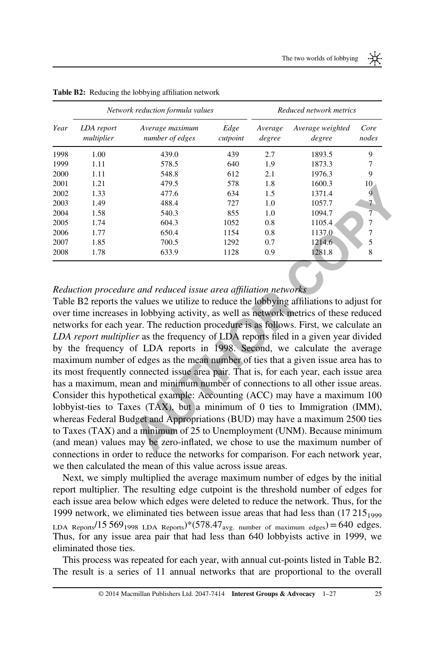|      |                          | Network reduction formula values   |                  | Reduced network metrics |                            |               |  |
|------|--------------------------|------------------------------------|------------------|-------------------------|----------------------------|---------------|--|
| Year | LDA report<br>multiplier | Average maximum<br>number of edges | Edge<br>cutpoint | Average<br>degree       | Average weighted<br>degree | Core<br>nodes |  |
| 1998 | 1.00                     | 439.0                              | 439              | 2.7                     | 1893.5                     | 9             |  |
| 1999 | 1.11                     | 578.5                              | 640              | 1.9                     | 1873.3                     |               |  |
| 2000 | 1.11                     | 548.8                              | 612              | 2.1                     | 1976.3                     | 9             |  |
| 2001 | 1.21                     | 479.5                              | 578              | 1.8                     | 1600.3                     | 10            |  |
| 2002 | 1.33                     | 477.6                              | 634              | 1.5                     | 1371.4                     | 9             |  |
| 2003 | 1.49                     | 488.4                              | 727              | 1.0                     | 1057.7                     | 7             |  |
| 2004 | 1.58                     | 540.3                              | 855              | 1.0                     | 1094.7                     |               |  |
| 2005 | 1.74                     | 604.3                              | 1052             | 0.8                     | 1105.4                     |               |  |
| 2006 | 1.77                     | 650.4                              | 1154             | 0.8                     | 1137.0                     | 7             |  |
| 2007 | 1.85                     | 700.5                              | 1292             | 0.7                     | 1214.6                     | 5             |  |
| 2008 | 1.78                     | 633.9                              | 1128             | 0.9                     | 1281.8                     | 8             |  |

<span id="page-24-0"></span>Table B2: Reducing the lobbying affiliation network

Reduction procedure and reduced issue area affiliation networks

1775 500<br>
477.6 504 1.5 1371.4 19<br>
488 4721 10 10627<br>
488 540.3 855 1.0 1067.7<br>
644 486 727 1.0 1062<br>
643 1105 0.8 11054<br>
77 66.64 1154 0.8 110754<br>
77 66.64 1154 0.8 110754<br>
77 66.64 1154 0.8 110754<br>
78 633.9 1128 0.9 1214 Table B2 reports the values we utilize to reduce the lobbying affiliations to adjust for over time increases in lobbying activity, as well as network metrics of these reduced networks for each year. The reduction procedure is as follows. First, we calculate an LDA report multiplier as the frequency of LDA reports filed in a given year divided by the frequency of LDA reports in 1998. Second, we calculate the average maximum number of edges as the mean number of ties that a given issue area has to its most frequently connected issue area pair. That is, for each year, each issue area has a maximum, mean and minimum number of connections to all other issue areas. Consider this hypothetical example: Accounting (ACC) may have a maximum 100 lobbyist-ties to Taxes (TAX), but a minimum of 0 ties to Immigration (IMM), whereas Federal Budget and Appropriations (BUD) may have a maximum 2500 ties to Taxes (TAX) and a minimum of 25 to Unemployment (UNM). Because minimum (and mean) values may be zero-inflated, we chose to use the maximum number of connections in order to reduce the networks for comparison. For each network year, we then calculated the mean of this value across issue areas.

Next, we simply multiplied the average maximum number of edges by the initial report multiplier. The resulting edge cutpoint is the threshold number of edges for each issue area below which edges were deleted to reduce the network. Thus, for the 1999 network, we eliminated ties between issue areas that had less than  $(17.215_{1999}$ LDA Reports<sup> $/15569$ </sup>1998 LDA Reports)\*(578.47<sub>avg. number of maximum edges) = 640 edges.</sub> Thus, for any issue area pair that had less than 640 lobbyists active in 1999, we eliminated those ties.

This process was repeated for each year, with annual cut-points listed in Table B2. The result is a series of 11 annual networks that are proportional to the overall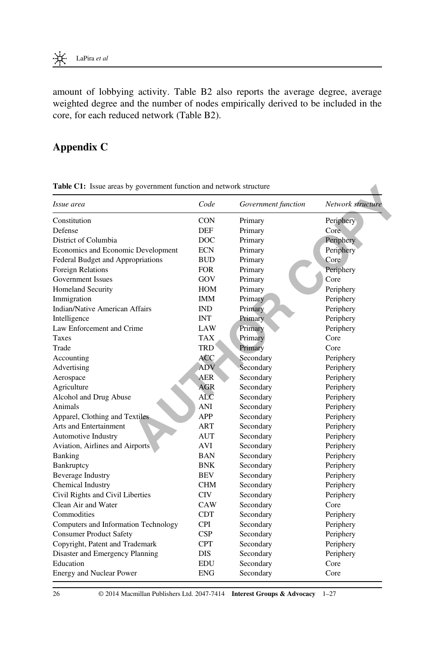amount of lobbying activity. Table B2 also reports the average degree, average weighted degree and the number of nodes empirically derived to be included in the core, for each reduced network ([Table B2](#page-24-0)).

# Appendix C

| Issue area                            | Code       | Government function | Network structure |
|---------------------------------------|------------|---------------------|-------------------|
| Constitution                          | CON        | Primary             | Periphery         |
| Defense                               | DEF        | Primary             | Core              |
| District of Columbia                  | DOC        | Primary             | Periphery         |
| Economics and Economic Development    | <b>ECN</b> | Primary             | Periphery         |
| Federal Budget and Appropriations     | <b>BUD</b> | Primary             | Core              |
| <b>Foreign Relations</b>              | <b>FOR</b> | Primary             | Periphery         |
| <b>Government Issues</b>              | GOV        | Primary             | Core              |
| <b>Homeland Security</b>              | HOM        | Primary             | Periphery         |
| Immigration                           | <b>IMM</b> | Primary             | Periphery         |
| <b>Indian/Native American Affairs</b> | IND        | Primary             | Periphery         |
| Intelligence                          | <b>INT</b> | Primary             | Periphery         |
| Law Enforcement and Crime             | LAW        | Primary             | Periphery         |
| Taxes                                 | <b>TAX</b> | Primary             | Core              |
| Trade                                 | <b>TRD</b> | Primary             | Core              |
| Accounting                            | <b>ACC</b> | Secondary           | Periphery         |
| Advertising                           | <b>ADV</b> | Secondary           | Periphery         |
| Aerospace                             | <b>AER</b> | Secondary           | Periphery         |
| Agriculture                           | <b>AGR</b> | Secondary           | Periphery         |
| Alcohol and Drug Abuse                | <b>ALC</b> | Secondary           | Periphery         |
| Animals                               | ANI        | Secondary           | Periphery         |
| Apparel, Clothing and Textiles        | <b>APP</b> | Secondary           | Periphery         |
| Arts and Entertainment                | ART        | Secondary           | Periphery         |
| Automotive Industry                   | AUT        | Secondary           | Periphery         |
| Aviation, Airlines and Airports       | <b>AVI</b> | Secondary           | Periphery         |
| Banking                               | BAN        | Secondary           | Periphery         |
| Bankruptcy                            | BNK        | Secondary           | Periphery         |
| <b>Beverage Industry</b>              | BEV        | Secondary           | Periphery         |
| Chemical Industry                     | <b>CHM</b> | Secondary           | Periphery         |
| Civil Rights and Civil Liberties      | <b>CIV</b> | Secondary           | Periphery         |
| Clean Air and Water                   | CAW        | Secondary           | Core              |
| Commodities                           | <b>CDT</b> | Secondary           | Periphery         |
| Computers and Information Technology  | <b>CPI</b> | Secondary           | Periphery         |
| <b>Consumer Product Safety</b>        | CSP        | Secondary           | Periphery         |
| Copyright, Patent and Trademark       | <b>CPT</b> | Secondary           | Periphery         |
| Disaster and Emergency Planning       | DIS        | Secondary           | Periphery         |
| Education                             | <b>EDU</b> | Secondary           | Core              |
| <b>Energy and Nuclear Power</b>       | <b>ENG</b> | Secondary           | Core              |

Table C1: Issue areas by government function and network structure

26 © 2014 Macmillan Publishers Ltd. 2047-7414 Interest Groups & Advocacy 1–27